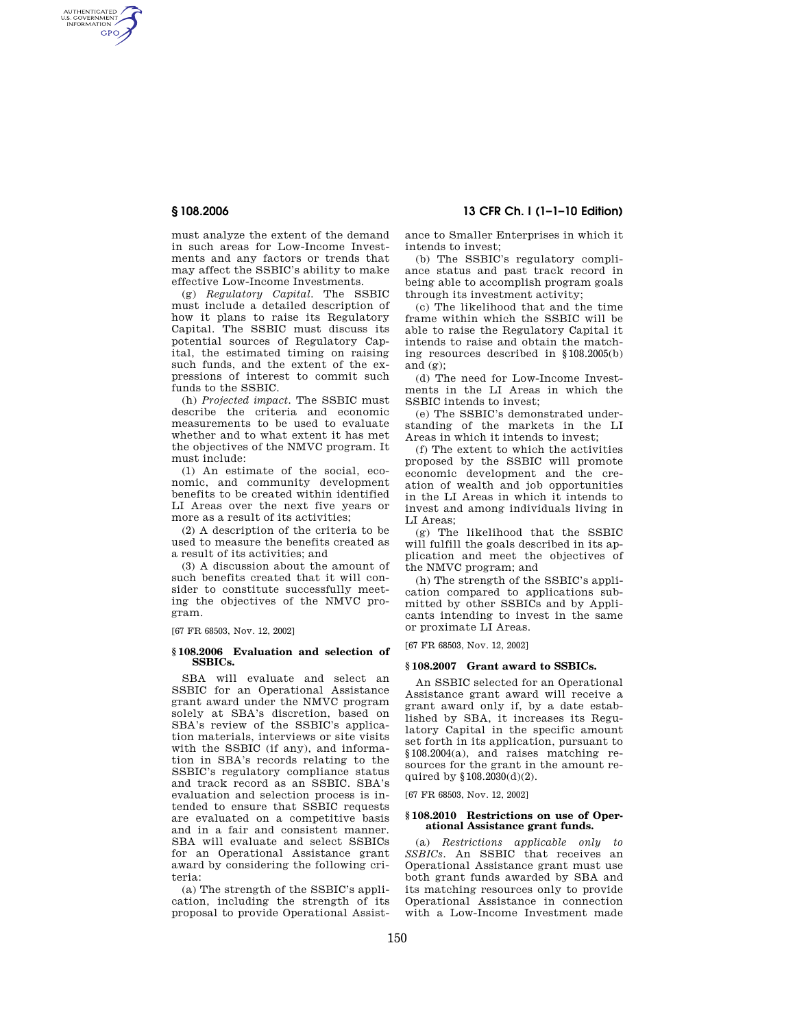AUTHENTICATED<br>U.S. GOVERNMENT<br>INFORMATION **GPO** 

> must analyze the extent of the demand in such areas for Low-Income Investments and any factors or trends that may affect the SSBIC's ability to make effective Low-Income Investments.

> (g) *Regulatory Capital.* The SSBIC must include a detailed description of how it plans to raise its Regulatory Capital. The SSBIC must discuss its potential sources of Regulatory Capital, the estimated timing on raising such funds, and the extent of the expressions of interest to commit such funds to the SSBIC.

> (h) *Projected impact.* The SSBIC must describe the criteria and economic measurements to be used to evaluate whether and to what extent it has met the objectives of the NMVC program. It must include:

> (1) An estimate of the social, economic, and community development benefits to be created within identified LI Areas over the next five years or more as a result of its activities;

> (2) A description of the criteria to be used to measure the benefits created as a result of its activities; and

> (3) A discussion about the amount of such benefits created that it will consider to constitute successfully meeting the objectives of the NMVC program.

[67 FR 68503, Nov. 12, 2002]

### **§ 108.2006 Evaluation and selection of SSBICs.**

SBA will evaluate and select an SSBIC for an Operational Assistance grant award under the NMVC program solely at SBA's discretion, based on SBA's review of the SSBIC's application materials, interviews or site visits with the SSBIC (if any), and information in SBA's records relating to the SSBIC's regulatory compliance status and track record as an SSBIC. SBA's evaluation and selection process is intended to ensure that SSBIC requests are evaluated on a competitive basis and in a fair and consistent manner. SBA will evaluate and select SSBICs for an Operational Assistance grant award by considering the following criteria:

(a) The strength of the SSBIC's application, including the strength of its proposal to provide Operational Assist-

**§ 108.2006 13 CFR Ch. I (1–1–10 Edition)** 

ance to Smaller Enterprises in which it intends to invest:

(b) The SSBIC's regulatory compliance status and past track record in being able to accomplish program goals through its investment activity;

(c) The likelihood that and the time frame within which the SSBIC will be able to raise the Regulatory Capital it intends to raise and obtain the matching resources described in §108.2005(b) and (g);

(d) The need for Low-Income Investments in the LI Areas in which the SSBIC intends to invest;

(e) The SSBIC's demonstrated understanding of the markets in the LI Areas in which it intends to invest;

(f) The extent to which the activities proposed by the SSBIC will promote economic development and the creation of wealth and job opportunities in the LI Areas in which it intends to invest and among individuals living in LI Areas;

(g) The likelihood that the SSBIC will fulfill the goals described in its application and meet the objectives of the NMVC program; and

(h) The strength of the SSBIC's application compared to applications submitted by other SSBICs and by Applicants intending to invest in the same or proximate LI Areas.

[67 FR 68503, Nov. 12, 2002]

### **§ 108.2007 Grant award to SSBICs.**

An SSBIC selected for an Operational Assistance grant award will receive a grant award only if, by a date established by SBA, it increases its Regulatory Capital in the specific amount set forth in its application, pursuant to §108.2004(a), and raises matching resources for the grant in the amount required by §108.2030(d)(2).

[67 FR 68503, Nov. 12, 2002]

## **§ 108.2010 Restrictions on use of Operational Assistance grant funds.**

(a) *Restrictions applicable only to SSBICs.* An SSBIC that receives an Operational Assistance grant must use both grant funds awarded by SBA and its matching resources only to provide Operational Assistance in connection with a Low-Income Investment made